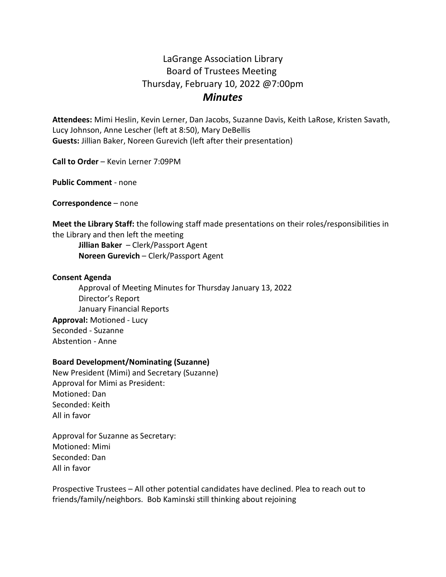# LaGrange Association Library Board of Trustees Meeting Thursday, February 10, 2022 @7:00pm *Minutes*

**Attendees:** Mimi Heslin, Kevin Lerner, Dan Jacobs, Suzanne Davis, Keith LaRose, Kristen Savath, Lucy Johnson, Anne Lescher (left at 8:50), Mary DeBellis **Guests:** Jillian Baker, Noreen Gurevich (left after their presentation)

**Call to Order** – Kevin Lerner 7:09PM

**Public Comment** - none

**Correspondence** – none

**Meet the Library Staff:** the following staff made presentations on their roles/responsibilities in the Library and then left the meeting

**Jillian Baker** – Clerk/Passport Agent **Noreen Gurevich** – Clerk/Passport Agent

#### **Consent Agenda**

Approval of Meeting Minutes for Thursday January 13, 2022 Director's Report January Financial Reports **Approval:** Motioned - Lucy Seconded - Suzanne Abstention - Anne

## **Board Development/Nominating (Suzanne)**

New President (Mimi) and Secretary (Suzanne) Approval for Mimi as President: Motioned: Dan Seconded: Keith All in favor

Approval for Suzanne as Secretary: Motioned: Mimi Seconded: Dan All in favor

Prospective Trustees – All other potential candidates have declined. Plea to reach out to friends/family/neighbors. Bob Kaminski still thinking about rejoining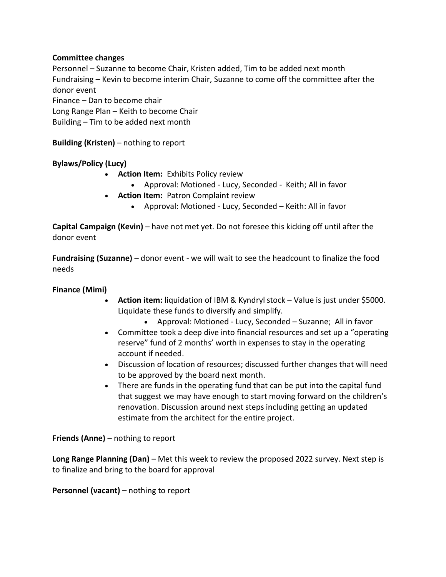# **Committee changes**

Personnel – Suzanne to become Chair, Kristen added, Tim to be added next month Fundraising – Kevin to become interim Chair, Suzanne to come off the committee after the donor event Finance – Dan to become chair Long Range Plan – Keith to become Chair

Building – Tim to be added next month

**Building (Kristen)** – nothing to report

# **Bylaws/Policy (Lucy)**

- **Action Item:** Exhibits Policy review
	- Approval: Motioned Lucy, Seconded Keith; All in favor
- **Action Item:** Patron Complaint review
	- Approval: Motioned Lucy, Seconded Keith: All in favor

**Capital Campaign (Kevin)** – have not met yet. Do not foresee this kicking off until after the donor event

**Fundraising (Suzanne)** – donor event - we will wait to see the headcount to finalize the food needs

## **Finance (Mimi)**

- **Action item:** liquidation of IBM & Kyndryl stock Value is just under \$5000. Liquidate these funds to diversify and simplify.
	- Approval: Motioned Lucy, Seconded Suzanne; All in favor
- Committee took a deep dive into financial resources and set up a "operating reserve" fund of 2 months' worth in expenses to stay in the operating account if needed.
- Discussion of location of resources; discussed further changes that will need to be approved by the board next month.
- There are funds in the operating fund that can be put into the capital fund that suggest we may have enough to start moving forward on the children's renovation. Discussion around next steps including getting an updated estimate from the architect for the entire project.

**Friends (Anne)** – nothing to report

**Long Range Planning (Dan)** – Met this week to review the proposed 2022 survey. Next step is to finalize and bring to the board for approval

**Personnel (vacant) –** nothing to report